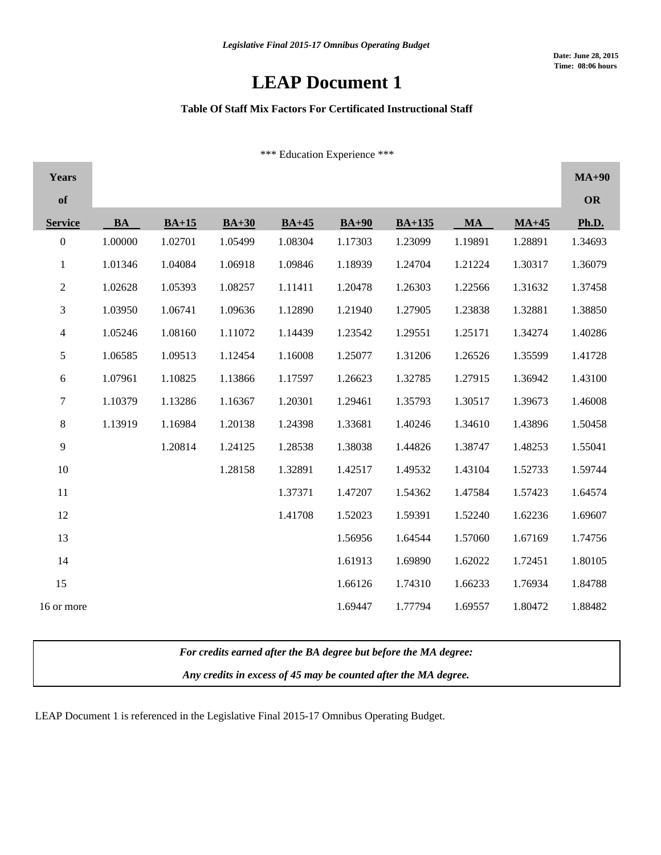# **LEAP Document 1**

### **Table Of Staff Mix Factors For Certificated Instructional Staff**

\*\*\* Education Experience \*\*\*

| Years            |           |         |         |         |         |          |           |         | $MA+90$   |
|------------------|-----------|---------|---------|---------|---------|----------|-----------|---------|-----------|
| of               |           |         |         |         |         |          |           |         | <b>OR</b> |
| <b>Service</b>   | <b>BA</b> | $BA+15$ | $BA+30$ | $BA+45$ | $BA+90$ | $BA+135$ | <b>MA</b> | $MA+45$ | Ph.D.     |
| $\boldsymbol{0}$ | 1.00000   | 1.02701 | 1.05499 | 1.08304 | 1.17303 | 1.23099  | 1.19891   | 1.28891 | 1.34693   |
| $\mathbf 1$      | 1.01346   | 1.04084 | 1.06918 | 1.09846 | 1.18939 | 1.24704  | 1.21224   | 1.30317 | 1.36079   |
| $\overline{c}$   | 1.02628   | 1.05393 | 1.08257 | 1.11411 | 1.20478 | 1.26303  | 1.22566   | 1.31632 | 1.37458   |
| 3                | 1.03950   | 1.06741 | 1.09636 | 1.12890 | 1.21940 | 1.27905  | 1.23838   | 1.32881 | 1.38850   |
| $\overline{4}$   | 1.05246   | 1.08160 | 1.11072 | 1.14439 | 1.23542 | 1.29551  | 1.25171   | 1.34274 | 1.40286   |
| 5                | 1.06585   | 1.09513 | 1.12454 | 1.16008 | 1.25077 | 1.31206  | 1.26526   | 1.35599 | 1.41728   |
| 6                | 1.07961   | 1.10825 | 1.13866 | 1.17597 | 1.26623 | 1.32785  | 1.27915   | 1.36942 | 1.43100   |
| $\boldsymbol{7}$ | 1.10379   | 1.13286 | 1.16367 | 1.20301 | 1.29461 | 1.35793  | 1.30517   | 1.39673 | 1.46008   |
| $8\,$            | 1.13919   | 1.16984 | 1.20138 | 1.24398 | 1.33681 | 1.40246  | 1.34610   | 1.43896 | 1.50458   |
| 9                |           | 1.20814 | 1.24125 | 1.28538 | 1.38038 | 1.44826  | 1.38747   | 1.48253 | 1.55041   |
| 10               |           |         | 1.28158 | 1.32891 | 1.42517 | 1.49532  | 1.43104   | 1.52733 | 1.59744   |
| $11\,$           |           |         |         | 1.37371 | 1.47207 | 1.54362  | 1.47584   | 1.57423 | 1.64574   |
| 12               |           |         |         | 1.41708 | 1.52023 | 1.59391  | 1.52240   | 1.62236 | 1.69607   |
| 13               |           |         |         |         | 1.56956 | 1.64544  | 1.57060   | 1.67169 | 1.74756   |
| 14               |           |         |         |         | 1.61913 | 1.69890  | 1.62022   | 1.72451 | 1.80105   |
| 15               |           |         |         |         | 1.66126 | 1.74310  | 1.66233   | 1.76934 | 1.84788   |
| 16 or more       |           |         |         |         | 1.69447 | 1.77794  | 1.69557   | 1.80472 | 1.88482   |

*For credits earned after the BA degree but before the MA degree:*

*Any credits in excess of 45 may be counted after the MA degree.*

LEAP Document 1 is referenced in the Legislative Final 2015-17 Omnibus Operating Budget.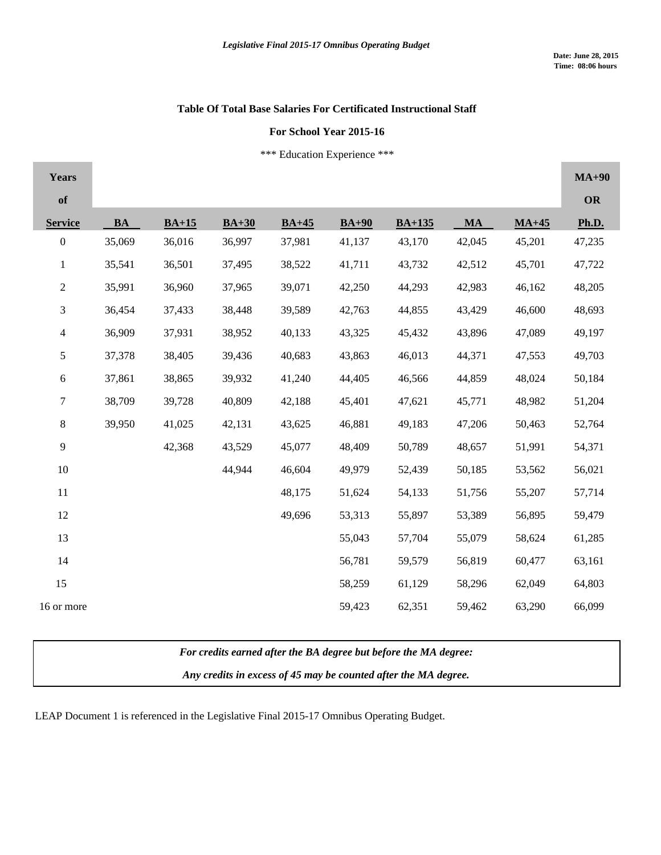## **Table Of Total Base Salaries For Certificated Instructional Staff**

#### **For School Year 2015-16**

\*\*\* Education Experience \*\*\*

| <b>Years</b>     |           |         |         |         |         |          |           |         | $MA+90$ |
|------------------|-----------|---------|---------|---------|---------|----------|-----------|---------|---------|
| of               |           |         |         |         |         |          |           |         | OR      |
| <b>Service</b>   | <b>BA</b> | $BA+15$ | $BA+30$ | $BA+45$ | $BA+90$ | $BA+135$ | <b>MA</b> | $MA+45$ | Ph.D.   |
| $\boldsymbol{0}$ | 35,069    | 36,016  | 36,997  | 37,981  | 41,137  | 43,170   | 42,045    | 45,201  | 47,235  |
| $\mathbf{1}$     | 35,541    | 36,501  | 37,495  | 38,522  | 41,711  | 43,732   | 42,512    | 45,701  | 47,722  |
| $\overline{c}$   | 35,991    | 36,960  | 37,965  | 39,071  | 42,250  | 44,293   | 42,983    | 46,162  | 48,205  |
| $\mathfrak{Z}$   | 36,454    | 37,433  | 38,448  | 39,589  | 42,763  | 44,855   | 43,429    | 46,600  | 48,693  |
| $\overline{4}$   | 36,909    | 37,931  | 38,952  | 40,133  | 43,325  | 45,432   | 43,896    | 47,089  | 49,197  |
| 5                | 37,378    | 38,405  | 39,436  | 40,683  | 43,863  | 46,013   | 44,371    | 47,553  | 49,703  |
| 6                | 37,861    | 38,865  | 39,932  | 41,240  | 44,405  | 46,566   | 44,859    | 48,024  | 50,184  |
| $\tau$           | 38,709    | 39,728  | 40,809  | 42,188  | 45,401  | 47,621   | 45,771    | 48,982  | 51,204  |
| $\,8\,$          | 39,950    | 41,025  | 42,131  | 43,625  | 46,881  | 49,183   | 47,206    | 50,463  | 52,764  |
| 9                |           | 42,368  | 43,529  | 45,077  | 48,409  | 50,789   | 48,657    | 51,991  | 54,371  |
| 10               |           |         | 44,944  | 46,604  | 49,979  | 52,439   | 50,185    | 53,562  | 56,021  |
| 11               |           |         |         | 48,175  | 51,624  | 54,133   | 51,756    | 55,207  | 57,714  |
| 12               |           |         |         | 49,696  | 53,313  | 55,897   | 53,389    | 56,895  | 59,479  |
| 13               |           |         |         |         | 55,043  | 57,704   | 55,079    | 58,624  | 61,285  |
| 14               |           |         |         |         | 56,781  | 59,579   | 56,819    | 60,477  | 63,161  |
| 15               |           |         |         |         | 58,259  | 61,129   | 58,296    | 62,049  | 64,803  |
| 16 or more       |           |         |         |         | 59,423  | 62,351   | 59,462    | 63,290  | 66,099  |

*For credits earned after the BA degree but before the MA degree:*

*Any credits in excess of 45 may be counted after the MA degree.*

LEAP Document 1 is referenced in the Legislative Final 2015-17 Omnibus Operating Budget.